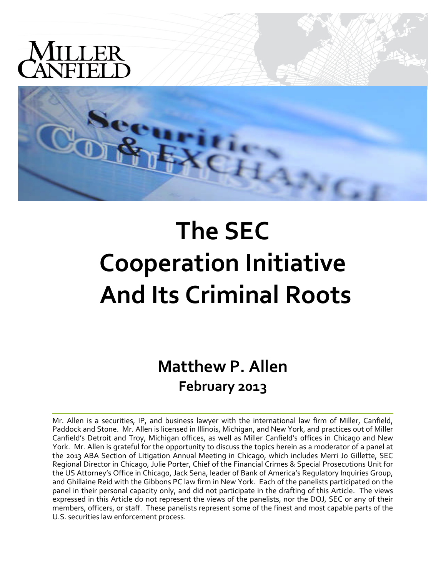

# **The SEC Cooperation Initiative And Its Criminal Roots**

**Matthew P. Allen February 2013**

Mr. Allen is a securities, IP, and business lawyer with the international law firm of Miller, Canfield, Paddock and Stone. Mr. Allen is licensed in Illinois, Michigan, and New York, and practices out of Miller Canfield's Detroit and Troy, Michigan offices, as well as Miller Canfield's offices in Chicago and New York. Mr. Allen is grateful for the opportunity to discuss the topics herein as a moderator of a panel at the 2013 ABA Section of Litigation Annual Meeting in Chicago, which includes Merri Jo Gillette, SEC Regional Director in Chicago, Julie Porter, Chief of the Financial Crimes & Special Prosecutions Unit for the US Attorney's Office in Chicago, Jack Sena, leader of Bank of America's Regulatory Inquiries Group, and Ghillaine Reid with the Gibbons PC law firm in New York. Each of the panelists participated on the panel in their personal capacity only, and did not participate in the drafting of this Article. The views expressed in this Article do not represent the views of the panelists, nor the DOJ, SEC or any of their members, officers, or staff. These panelists represent some of the finest and most capable parts of the U.S. securities law enforcement process.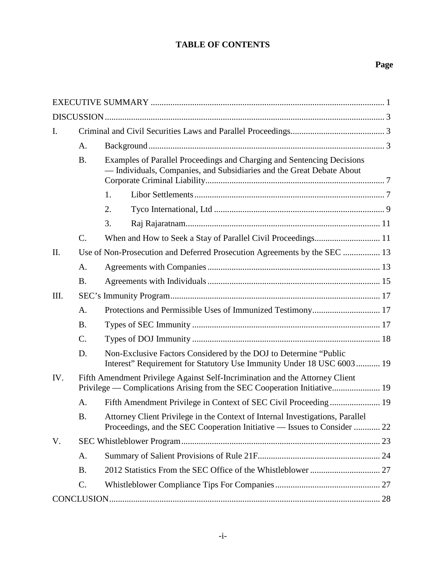## **TABLE OF CONTENTS**

## **Page**

| I.      |                 |                                                                                                                                                           |  |  |  |  |
|---------|-----------------|-----------------------------------------------------------------------------------------------------------------------------------------------------------|--|--|--|--|
|         | A.              |                                                                                                                                                           |  |  |  |  |
|         | <b>B.</b>       | Examples of Parallel Proceedings and Charging and Sentencing Decisions<br>- Individuals, Companies, and Subsidiaries and the Great Debate About           |  |  |  |  |
|         |                 | 1.                                                                                                                                                        |  |  |  |  |
|         |                 | 2.                                                                                                                                                        |  |  |  |  |
|         |                 | 3.                                                                                                                                                        |  |  |  |  |
|         | $\mathcal{C}$ . | When and How to Seek a Stay of Parallel Civil Proceedings 11                                                                                              |  |  |  |  |
| $\Pi$ . |                 | Use of Non-Prosecution and Deferred Prosecution Agreements by the SEC  13                                                                                 |  |  |  |  |
|         | A.              |                                                                                                                                                           |  |  |  |  |
|         | <b>B.</b>       |                                                                                                                                                           |  |  |  |  |
| III.    |                 |                                                                                                                                                           |  |  |  |  |
|         | A.              |                                                                                                                                                           |  |  |  |  |
|         | <b>B.</b>       |                                                                                                                                                           |  |  |  |  |
|         | $\mathcal{C}$ . |                                                                                                                                                           |  |  |  |  |
|         | D.              | Non-Exclusive Factors Considered by the DOJ to Determine "Public<br>Interest" Requirement for Statutory Use Immunity Under 18 USC 6003 19                 |  |  |  |  |
| IV.     |                 | Fifth Amendment Privilege Against Self-Incrimination and the Attorney Client<br>Privilege — Complications Arising from the SEC Cooperation Initiative 19  |  |  |  |  |
|         | A.              |                                                                                                                                                           |  |  |  |  |
|         | <b>B.</b>       | Attorney Client Privilege in the Context of Internal Investigations, Parallel<br>Proceedings, and the SEC Cooperation Initiative — Issues to Consider  22 |  |  |  |  |
| V.      |                 |                                                                                                                                                           |  |  |  |  |
|         | A.              |                                                                                                                                                           |  |  |  |  |
|         | <b>B.</b>       |                                                                                                                                                           |  |  |  |  |
|         | $\mathcal{C}$ . |                                                                                                                                                           |  |  |  |  |
|         |                 |                                                                                                                                                           |  |  |  |  |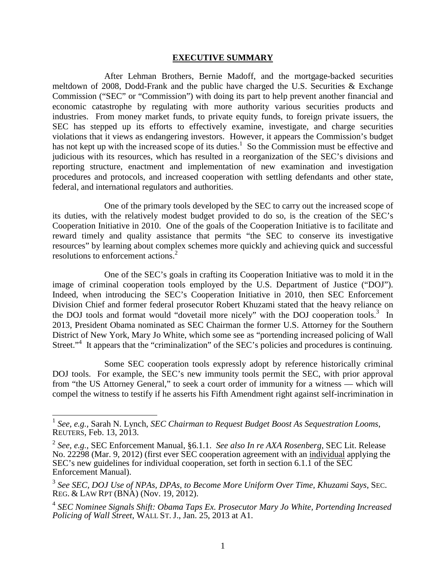#### **EXECUTIVE SUMMARY**

After Lehman Brothers, Bernie Madoff, and the mortgage-backed securities meltdown of 2008, Dodd-Frank and the public have charged the U.S. Securities & Exchange Commission ("SEC" or "Commission") with doing its part to help prevent another financial and economic catastrophe by regulating with more authority various securities products and industries. From money market funds, to private equity funds, to foreign private issuers, the SEC has stepped up its efforts to effectively examine, investigate, and charge securities violations that it views as endangering investors. However, it appears the Commission's budget has not kept up with the increased scope of its duties.<sup>1</sup> So the Commission must be effective and judicious with its resources, which has resulted in a reorganization of the SEC's divisions and reporting structure, enactment and implementation of new examination and investigation procedures and protocols, and increased cooperation with settling defendants and other state, federal, and international regulators and authorities.

One of the primary tools developed by the SEC to carry out the increased scope of its duties, with the relatively modest budget provided to do so, is the creation of the SEC's Cooperation Initiative in 2010. One of the goals of the Cooperation Initiative is to facilitate and reward timely and quality assistance that permits "the SEC to conserve its investigative resources" by learning about complex schemes more quickly and achieving quick and successful resolutions to enforcement actions.<sup>2</sup>

One of the SEC's goals in crafting its Cooperation Initiative was to mold it in the image of criminal cooperation tools employed by the U.S. Department of Justice ("DOJ"). Indeed, when introducing the SEC's Cooperation Initiative in 2010, then SEC Enforcement Division Chief and former federal prosecutor Robert Khuzami stated that the heavy reliance on the DOJ tools and format would "dovetail more nicely" with the DOJ cooperation tools.<sup>3</sup> In 2013, President Obama nominated as SEC Chairman the former U.S. Attorney for the Southern District of New York, Mary Jo White, which some see as "portending increased policing of Wall Street."<sup>4</sup> It appears that the "criminalization" of the SEC's policies and procedures is continuing.

Some SEC cooperation tools expressly adopt by reference historically criminal DOJ tools. For example, the SEC's new immunity tools permit the SEC, with prior approval from "the US Attorney General," to seek a court order of immunity for a witness — which will compel the witness to testify if he asserts his Fifth Amendment right against self-incrimination in

<sup>1</sup> *See, e.g.,* Sarah N. Lynch, *SEC Chairman to Request Budget Boost As Sequestration Looms*, REUTERS, Feb. 13, 2013.

<sup>2</sup> *See, e.g.,* SEC Enforcement Manual, §6.1.1. *See also In re AXA Rosenberg*, SEC Lit. Release No. 22298 (Mar. 9, 2012) (first ever SEC cooperation agreement with an individual applying the SEC's new guidelines for individual cooperation, set forth in section 6.1.1 of the SEC Enforcement Manual).

<sup>3</sup> *See SEC, DOJ Use of NPAs, DPAs, to Become More Uniform Over Time, Khuzami Says*, SEC. REG. & LAW RPT (BNA) (Nov. 19, 2012).

<sup>4</sup> *SEC Nominee Signals Shift: Obama Taps Ex. Prosecutor Mary Jo White, Portending Increased Policing of Wall Street*, WALL ST. J., Jan. 25, 2013 at A1.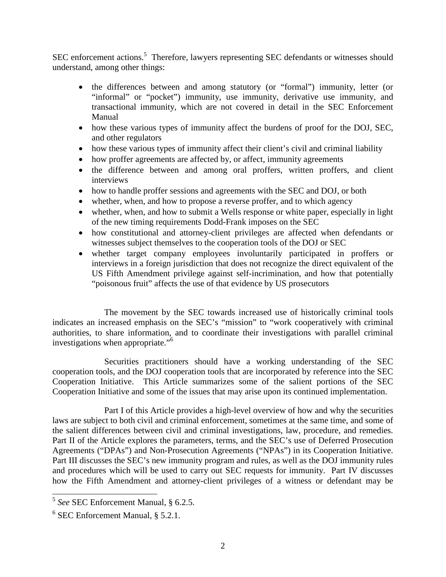SEC enforcement actions.<sup>5</sup> Therefore, lawyers representing SEC defendants or witnesses should understand, among other things:

- the differences between and among statutory (or "formal") immunity, letter (or "informal" or "pocket") immunity, use immunity, derivative use immunity, and transactional immunity, which are not covered in detail in the SEC Enforcement Manual
- how these various types of immunity affect the burdens of proof for the DOJ, SEC, and other regulators
- how these various types of immunity affect their client's civil and criminal liability
- how proffer agreements are affected by, or affect, immunity agreements
- the difference between and among oral proffers, written proffers, and client interviews
- how to handle proffer sessions and agreements with the SEC and DOJ, or both
- whether, when, and how to propose a reverse proffer, and to which agency
- whether, when, and how to submit a Wells response or white paper, especially in light of the new timing requirements Dodd-Frank imposes on the SEC
- how constitutional and attorney-client privileges are affected when defendants or witnesses subject themselves to the cooperation tools of the DOJ or SEC
- whether target company employees involuntarily participated in proffers or interviews in a foreign jurisdiction that does not recognize the direct equivalent of the US Fifth Amendment privilege against self-incrimination, and how that potentially "poisonous fruit" affects the use of that evidence by US prosecutors

The movement by the SEC towards increased use of historically criminal tools indicates an increased emphasis on the SEC's "mission" to "work cooperatively with criminal authorities, to share information, and to coordinate their investigations with parallel criminal investigations when appropriate."<sup>6</sup>

Securities practitioners should have a working understanding of the SEC cooperation tools, and the DOJ cooperation tools that are incorporated by reference into the SEC Cooperation Initiative. This Article summarizes some of the salient portions of the SEC Cooperation Initiative and some of the issues that may arise upon its continued implementation.

Part I of this Article provides a high-level overview of how and why the securities laws are subject to both civil and criminal enforcement, sometimes at the same time, and some of the salient differences between civil and criminal investigations, law, procedure, and remedies. Part II of the Article explores the parameters, terms, and the SEC's use of Deferred Prosecution Agreements ("DPAs") and Non-Prosecution Agreements ("NPAs") in its Cooperation Initiative. Part III discusses the SEC's new immunity program and rules, as well as the DOJ immunity rules and procedures which will be used to carry out SEC requests for immunity. Part IV discusses how the Fifth Amendment and attorney-client privileges of a witness or defendant may be

<sup>5</sup> *See* SEC Enforcement Manual, § 6.2.5.

<sup>6</sup> SEC Enforcement Manual, § 5.2.1.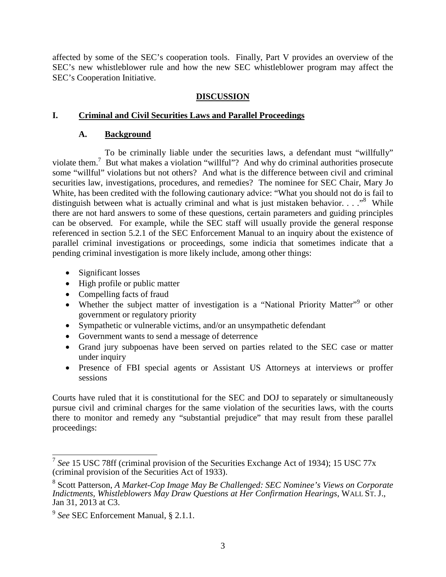affected by some of the SEC's cooperation tools. Finally, Part V provides an overview of the SEC's new whistleblower rule and how the new SEC whistleblower program may affect the SEC's Cooperation Initiative.

#### **DISCUSSION**

#### **I. Criminal and Civil Securities Laws and Parallel Proceedings**

#### **A. Background**

To be criminally liable under the securities laws, a defendant must "willfully" violate them.<sup>7</sup> But what makes a violation "willful"? And why do criminal authorities prosecute some "willful" violations but not others? And what is the difference between civil and criminal securities law, investigations, procedures, and remedies? The nominee for SEC Chair, Mary Jo White, has been credited with the following cautionary advice: "What you should not do is fail to distinguish between what is actually criminal and what is just mistaken behavior.  $\ldots$ <sup>8</sup>. While there are not hard answers to some of these questions, certain parameters and guiding principles can be observed. For example, while the SEC staff will usually provide the general response referenced in section 5.2.1 of the SEC Enforcement Manual to an inquiry about the existence of parallel criminal investigations or proceedings, some indicia that sometimes indicate that a pending criminal investigation is more likely include, among other things:

- Significant losses
- High profile or public matter
- Compelling facts of fraud
- Whether the subject matter of investigation is a "National Priority Matter"<sup>9</sup> or other government or regulatory priority
- Sympathetic or vulnerable victims, and/or an unsympathetic defendant
- Government wants to send a message of deterrence
- Grand jury subpoenas have been served on parties related to the SEC case or matter under inquiry
- Presence of FBI special agents or Assistant US Attorneys at interviews or proffer sessions

Courts have ruled that it is constitutional for the SEC and DOJ to separately or simultaneously pursue civil and criminal charges for the same violation of the securities laws, with the courts there to monitor and remedy any "substantial prejudice" that may result from these parallel proceedings:

<sup>7</sup> *See* 15 USC 78ff (criminal provision of the Securities Exchange Act of 1934); 15 USC 77x (criminal provision of the Securities Act of 1933).

<sup>8</sup> Scott Patterson, *A Market-Cop Image May Be Challenged: SEC Nominee's Views on Corporate Indictments, Whistleblowers May Draw Questions at Her Confirmation Hearings*, WALL ST. J., Jan 31, 2013 at C3.

<sup>9</sup> *See* SEC Enforcement Manual, § 2.1.1.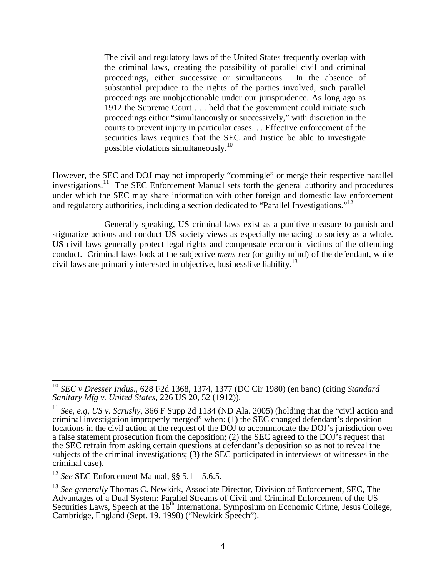The civil and regulatory laws of the United States frequently overlap with the criminal laws, creating the possibility of parallel civil and criminal proceedings, either successive or simultaneous. In the absence of substantial prejudice to the rights of the parties involved, such parallel proceedings are unobjectionable under our jurisprudence. As long ago as 1912 the Supreme Court . . . held that the government could initiate such proceedings either "simultaneously or successively," with discretion in the courts to prevent injury in particular cases. . . Effective enforcement of the securities laws requires that the SEC and Justice be able to investigate possible violations simultaneously.<sup>10</sup>

However, the SEC and DOJ may not improperly "commingle" or merge their respective parallel investigations.<sup>11</sup> The SEC Enforcement Manual sets forth the general authority and procedures under which the SEC may share information with other foreign and domestic law enforcement and regulatory authorities, including a section dedicated to "Parallel Investigations."<sup>12</sup>

Generally speaking, US criminal laws exist as a punitive measure to punish and stigmatize actions and conduct US society views as especially menacing to society as a whole. US civil laws generally protect legal rights and compensate economic victims of the offending conduct. Criminal laws look at the subjective *mens rea* (or guilty mind) of the defendant, while civil laws are primarily interested in objective, businesslike liability.<sup>13</sup>

<sup>10</sup> *SEC v Dresser Indus.*, 628 F2d 1368, 1374, 1377 (DC Cir 1980) (en banc) (citing *Standard Sanitary Mfg v. United States*, 226 US 20, 52 (1912)).

<sup>11</sup> *See, e.g, US v. Scrushy*, 366 F Supp 2d 1134 (ND Ala. 2005) (holding that the "civil action and criminal investigation improperly merged" when: (1) the SEC changed defendant's deposition locations in the civil action at the request of the DOJ to accommodate the DOJ's jurisdiction over a false statement prosecution from the deposition; (2) the SEC agreed to the DOJ's request that the SEC refrain from asking certain questions at defendant's deposition so as not to reveal the subjects of the criminal investigations; (3) the SEC participated in interviews of witnesses in the criminal case).

<sup>12</sup> *See* SEC Enforcement Manual, §§ 5.1 – 5.6.5.

<sup>&</sup>lt;sup>13</sup> See generally Thomas C. Newkirk, Associate Director, Division of Enforcement, SEC, The Advantages of a Dual System: Parallel Streams of Civil and Criminal Enforcement of the US Securities Laws, Speech at the 16th International Symposium on Economic Crime, Jesus College, Cambridge, England (Sept. 19, 1998) ("Newkirk Speech").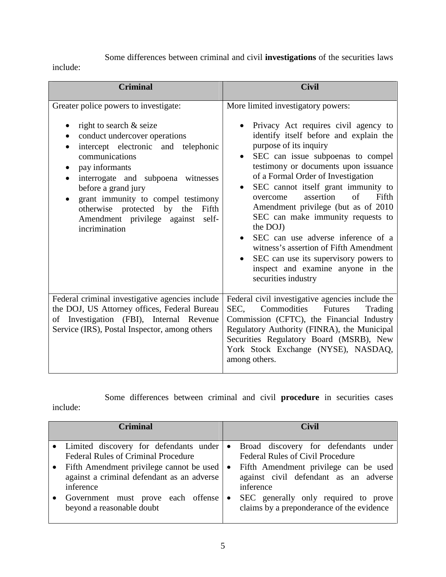Some differences between criminal and civil **investigations** of the securities laws

include:

| <b>Criminal</b>                                                                                                                                                                                                                                                                                                                                                                 | <b>Civil</b>                                                                                                                                                                                                                                                                                                                                                                                                                                                                                                                                                                                                                                       |  |  |
|---------------------------------------------------------------------------------------------------------------------------------------------------------------------------------------------------------------------------------------------------------------------------------------------------------------------------------------------------------------------------------|----------------------------------------------------------------------------------------------------------------------------------------------------------------------------------------------------------------------------------------------------------------------------------------------------------------------------------------------------------------------------------------------------------------------------------------------------------------------------------------------------------------------------------------------------------------------------------------------------------------------------------------------------|--|--|
| Greater police powers to investigate:<br>right to search & seize<br>conduct undercover operations<br>intercept electronic and telephonic<br>communications<br>pay informants<br>interrogate and subpoena witnesses<br>before a grand jury<br>grant immunity to compel testimony<br>otherwise protected by the<br>Fifth<br>Amendment privilege against<br>self-<br>incrimination | More limited investigatory powers:<br>Privacy Act requires civil agency to<br>identify itself before and explain the<br>purpose of its inquiry<br>SEC can issue subpoenas to compel<br>$\bullet$<br>testimony or documents upon issuance<br>of a Formal Order of Investigation<br>SEC cannot itself grant immunity to<br>$\sigma$ f<br>assertion<br>Fifth<br>overcome<br>Amendment privilege (but as of 2010<br>SEC can make immunity requests to<br>the DOJ)<br>SEC can use adverse inference of a<br>witness's assertion of Fifth Amendment<br>SEC can use its supervisory powers to<br>inspect and examine anyone in the<br>securities industry |  |  |
| Federal criminal investigative agencies include<br>the DOJ, US Attorney offices, Federal Bureau<br>of Investigation (FBI), Internal Revenue<br>Service (IRS), Postal Inspector, among others                                                                                                                                                                                    | Federal civil investigative agencies include the<br>Commodities<br>SEC,<br><b>Futures</b><br>Trading<br>Commission (CFTC), the Financial Industry<br>Regulatory Authority (FINRA), the Municipal<br>Securities Regulatory Board (MSRB), New<br>York Stock Exchange (NYSE), NASDAQ,<br>among others.                                                                                                                                                                                                                                                                                                                                                |  |  |

Some differences between criminal and civil **procedure** in securities cases include:

| <b>Criminal</b>                                                                                                                           |                | <b>Civil</b>                                                                                                                                                                     |
|-------------------------------------------------------------------------------------------------------------------------------------------|----------------|----------------------------------------------------------------------------------------------------------------------------------------------------------------------------------|
| • Limited discovery for defendants under                                                                                                  | $\bullet$      | Broad discovery for defendants under                                                                                                                                             |
| <b>Federal Rules of Criminal Procedure</b>                                                                                                |                | <b>Federal Rules of Civil Procedure</b>                                                                                                                                          |
| Fifth Amendment privilege cannot be used<br>against a criminal defendant as an adverse<br>inference<br>Government must prove each offense | $\bullet$<br>٠ | Fifth Amendment privilege can be used<br>against civil defendant as an adverse<br>inference<br>SEC generally only required to prove<br>claims by a preponderance of the evidence |
| beyond a reasonable doubt                                                                                                                 |                |                                                                                                                                                                                  |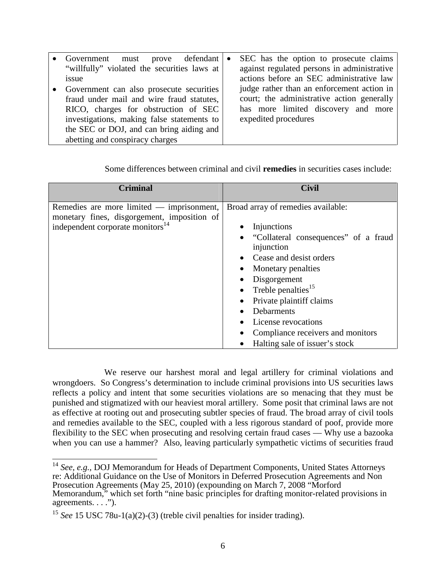| must prove defendant<br>Government          | $\bullet$ | SEC has the option to prosecute claims      |
|---------------------------------------------|-----------|---------------------------------------------|
| "willfully" violated the securities laws at |           | against regulated persons in administrative |
| issue                                       |           | actions before an SEC administrative law    |
| Government can also prosecute securities    |           | judge rather than an enforcement action in  |
| fraud under mail and wire fraud statutes,   |           | court; the administrative action generally  |
| RICO, charges for obstruction of SEC        |           | has more limited discovery and more         |
| investigations, making false statements to  |           | expedited procedures                        |
| the SEC or DOJ, and can bring aiding and    |           |                                             |
| abetting and conspiracy charges             |           |                                             |

| <b>Criminal</b>                                                                                                                            | <b>Civil</b>                                                                                                                                                                                                                                                                                                                                  |
|--------------------------------------------------------------------------------------------------------------------------------------------|-----------------------------------------------------------------------------------------------------------------------------------------------------------------------------------------------------------------------------------------------------------------------------------------------------------------------------------------------|
| Remedies are more limited $-$ imprisonment,<br>monetary fines, disgorgement, imposition of<br>independent corporate monitors <sup>14</sup> | Broad array of remedies available:<br>Injunctions<br>• "Collateral consequences" of a fraud<br>injunction<br>Cease and desist orders<br>Monetary penalties<br>Disgorgement<br>• Treble penalties $15$<br>Private plaintiff claims<br>Debarments<br>License revocations<br>Compliance receivers and monitors<br>Halting sale of issuer's stock |

Some differences between criminal and civil **remedies** in securities cases include:

We reserve our harshest moral and legal artillery for criminal violations and wrongdoers. So Congress's determination to include criminal provisions into US securities laws reflects a policy and intent that some securities violations are so menacing that they must be punished and stigmatized with our heaviest moral artillery. Some posit that criminal laws are not as effective at rooting out and prosecuting subtler species of fraud. The broad array of civil tools and remedies available to the SEC, coupled with a less rigorous standard of poof, provide more flexibility to the SEC when prosecuting and resolving certain fraud cases — Why use a bazooka when you can use a hammer? Also, leaving particularly sympathetic victims of securities fraud

<sup>&</sup>lt;sup>14</sup> See, e.g., DOJ Memorandum for Heads of Department Components, United States Attorneys re: Additional Guidance on the Use of Monitors in Deferred Prosecution Agreements and Non Prosecution Agreements (May 25, 2010) (expounding on March 7, 2008 "Morford Memorandum," which set forth "nine basic principles for drafting monitor-related provisions in agreements. . . .").

<sup>&</sup>lt;sup>15</sup> *See* 15 USC 78u-1(a)(2)-(3) (treble civil penalties for insider trading).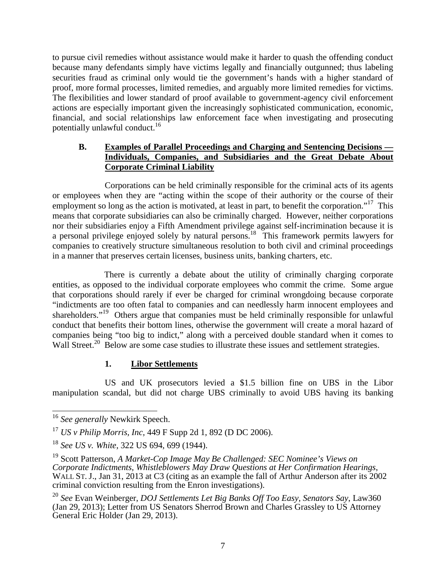to pursue civil remedies without assistance would make it harder to quash the offending conduct because many defendants simply have victims legally and financially outgunned; thus labeling securities fraud as criminal only would tie the government's hands with a higher standard of proof, more formal processes, limited remedies, and arguably more limited remedies for victims. The flexibilities and lower standard of proof available to government-agency civil enforcement actions are especially important given the increasingly sophisticated communication, economic, financial, and social relationships law enforcement face when investigating and prosecuting potentially unlawful conduct.<sup>16</sup>

#### **B. Examples of Parallel Proceedings and Charging and Sentencing Decisions — Individuals, Companies, and Subsidiaries and the Great Debate About Corporate Criminal Liability**

Corporations can be held criminally responsible for the criminal acts of its agents or employees when they are "acting within the scope of their authority or the course of their employment so long as the action is motivated, at least in part, to benefit the corporation."<sup>17</sup> This means that corporate subsidiaries can also be criminally charged. However, neither corporations nor their subsidiaries enjoy a Fifth Amendment privilege against self-incrimination because it is a personal privilege enjoyed solely by natural persons.<sup>18</sup> This framework permits lawyers for companies to creatively structure simultaneous resolution to both civil and criminal proceedings in a manner that preserves certain licenses, business units, banking charters, etc.

There is currently a debate about the utility of criminally charging corporate entities, as opposed to the individual corporate employees who commit the crime. Some argue that corporations should rarely if ever be charged for criminal wrongdoing because corporate "indictments are too often fatal to companies and can needlessly harm innocent employees and shareholders."<sup>19</sup> Others argue that companies must be held criminally responsible for unlawful conduct that benefits their bottom lines, otherwise the government will create a moral hazard of companies being "too big to indict," along with a perceived double standard when it comes to Wall Street.<sup>20</sup> Below are some case studies to illustrate these issues and settlement strategies.

#### **1. Libor Settlements**

US and UK prosecutors levied a \$1.5 billion fine on UBS in the Libor manipulation scandal, but did not charge UBS criminally to avoid UBS having its banking

<sup>&</sup>lt;sup>16</sup> See generally Newkirk Speech.

<sup>17</sup> *US v Philip Morris, Inc,* 449 F Supp 2d 1, 892 (D DC 2006).

<sup>18</sup> *See US v. White*, 322 US 694, 699 (1944).

<sup>19</sup> Scott Patterson, *A Market-Cop Image May Be Challenged: SEC Nominee's Views on Corporate Indictments, Whistleblowers May Draw Questions at Her Confirmation Hearings*, WALL ST. J., Jan 31, 2013 at C3 (citing as an example the fall of Arthur Anderson after its 2002 criminal conviction resulting from the Enron investigations).

<sup>20</sup> *See* Evan Weinberger, *DOJ Settlements Let Big Banks Off Too Easy, Senators Say*, Law360 (Jan 29, 2013); Letter from US Senators Sherrod Brown and Charles Grassley to US Attorney General Eric Holder (Jan 29, 2013).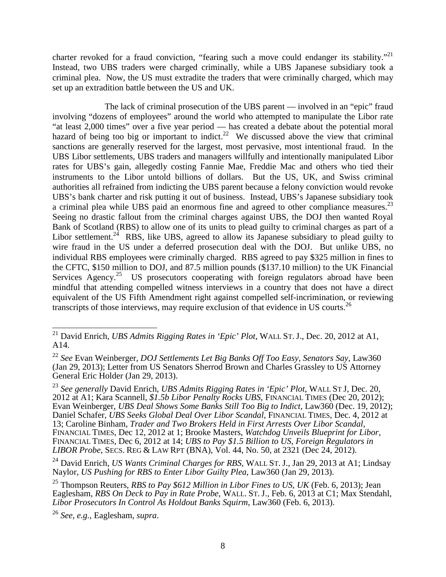charter revoked for a fraud conviction, "fearing such a move could endanger its stability."<sup>21</sup> Instead, two UBS traders were charged criminally, while a UBS Japanese subsidiary took a criminal plea. Now, the US must extradite the traders that were criminally charged, which may set up an extradition battle between the US and UK.

The lack of criminal prosecution of the UBS parent — involved in an "epic" fraud involving "dozens of employees" around the world who attempted to manipulate the Libor rate "at least 2,000 times" over a five year period — has created a debate about the potential moral hazard of being too big or important to indict.<sup>22</sup> We discussed above the view that criminal sanctions are generally reserved for the largest, most pervasive, most intentional fraud. In the UBS Libor settlements, UBS traders and managers willfully and intentionally manipulated Libor rates for UBS's gain, allegedly costing Fannie Mae, Freddie Mac and others who tied their instruments to the Libor untold billions of dollars. But the US, UK, and Swiss criminal authorities all refrained from indicting the UBS parent because a felony conviction would revoke UBS's bank charter and risk putting it out of business. Instead, UBS's Japanese subsidiary took a criminal plea while UBS paid an enormous fine and agreed to other compliance measures.<sup>23</sup> Seeing no drastic fallout from the criminal charges against UBS, the DOJ then wanted Royal Bank of Scotland (RBS) to allow one of its units to plead guilty to criminal charges as part of a Libor settlement.<sup>24</sup> RBS, like UBS, agreed to allow its Japanese subsidiary to plead guilty to wire fraud in the US under a deferred prosecution deal with the DOJ. But unlike UBS, no individual RBS employees were criminally charged. RBS agreed to pay \$325 million in fines to the CFTC, \$150 million to DOJ, and 87.5 million pounds (\$137.10 million) to the UK Financial Services  $A$ gency.<sup>25</sup> US prosecutors cooperating with foreign regulators abroad have been mindful that attending compelled witness interviews in a country that does not have a direct equivalent of the US Fifth Amendment right against compelled self-incrimination, or reviewing transcripts of those interviews, may require exclusion of that evidence in US courts.<sup>26</sup>

<sup>21</sup> David Enrich, *UBS Admits Rigging Rates in 'Epic' Plot*, WALL ST. J., Dec. 20, 2012 at A1, A14.

<sup>22</sup> *See* Evan Weinberger, *DOJ Settlements Let Big Banks Off Too Easy, Senators Say*, Law360 (Jan 29, 2013); Letter from US Senators Sherrod Brown and Charles Grassley to US Attorney General Eric Holder (Jan 29, 2013).

<sup>23</sup> *See generally* David Enrich, *UBS Admits Rigging Rates in 'Epic' Plot*, WALL S<sup>T</sup> J, Dec. 20, 2012 at A1; Kara Scannell, *\$1.5b Libor Penalty Rocks UBS*, FINANCIAL TIMES (Dec 20, 2012); Evan Weinberger, *UBS Deal Shows Some Banks Still Too Big to Indict*, Law360 (Dec. 19, 2012); Daniel Schafer, *UBS Seeks Global Deal Over Libor Scandal*, FINANCIAL TIMES, Dec. 4, 2012 at 13; Caroline Binham, *Trader and Two Brokers Held in First Arrests Over Libor Scandal*, FINANCIAL TIMES, Dec 12, 2012 at 1; Brooke Masters, *Watchdog Unveils Blueprint for Libor*, FINANCIAL TIMES, Dec 6, 2012 at 14; *UBS to Pay \$1.5 Billion to US, Foreign Regulators in LIBOR Probe*, SECS. REG & LAW RPT (BNA), Vol. 44, No. 50, at 2321 (Dec 24, 2012).

<sup>24</sup> David Enrich, *US Wants Criminal Charges for RBS*, WALL ST. J., Jan 29, 2013 at A1; Lindsay Naylor, *US Pushing for RBS to Enter Libor Guilty Plea*, Law360 (Jan 29, 2013).

<sup>25</sup> Thompson Reuters, *RBS to Pay \$612 Million in Libor Fines to US, UK* (Feb. 6, 2013); Jean Eaglesham, *RBS On Deck to Pay in Rate Probe*, WALL. ST. J., Feb. 6, 2013 at C1; Max Stendahl, *Libor Prosecutors In Control As Holdout Banks Squirm*, Law360 (Feb. 6, 2013).

<sup>26</sup> *See, e.g.,* Eaglesham, *supra*.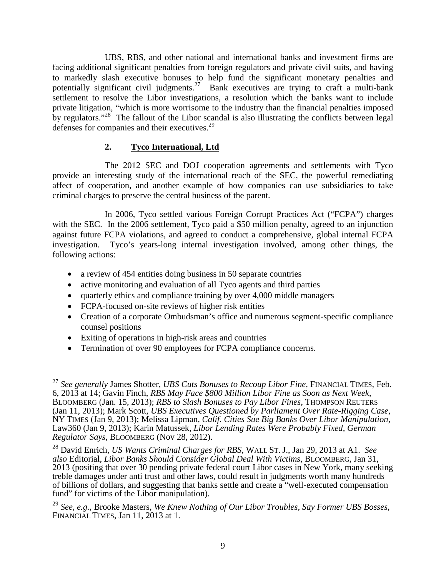UBS, RBS, and other national and international banks and investment firms are facing additional significant penalties from foreign regulators and private civil suits, and having to markedly slash executive bonuses to help fund the significant monetary penalties and potentially significant civil judgments.<sup>27</sup> Bank executives are trying to craft a multi-bank settlement to resolve the Libor investigations, a resolution which the banks want to include private litigation, "which is more worrisome to the industry than the financial penalties imposed by regulators."<sup>28</sup> The fallout of the Libor scandal is also illustrating the conflicts between legal defenses for companies and their executives.<sup>29</sup>

#### **2. Tyco International, Ltd**

The 2012 SEC and DOJ cooperation agreements and settlements with Tyco provide an interesting study of the international reach of the SEC, the powerful remediating affect of cooperation, and another example of how companies can use subsidiaries to take criminal charges to preserve the central business of the parent.

In 2006, Tyco settled various Foreign Corrupt Practices Act ("FCPA") charges with the SEC. In the 2006 settlement, Tyco paid a \$50 million penalty, agreed to an injunction against future FCPA violations, and agreed to conduct a comprehensive, global internal FCPA investigation. Tyco's years-long internal investigation involved, among other things, the following actions:

- a review of 454 entities doing business in 50 separate countries
- active monitoring and evaluation of all Tyco agents and third parties
- quarterly ethics and compliance training by over 4,000 middle managers
- FCPA-focused on-site reviews of higher risk entities
- Creation of a corporate Ombudsman's office and numerous segment-specific compliance counsel positions
- Exiting of operations in high-risk areas and countries
- Termination of over 90 employees for FCPA compliance concerns.

<sup>27</sup> *See generally* James Shotter, *UBS Cuts Bonuses to Recoup Libor Fine*, FINANCIAL TIMES, Feb. 6, 2013 at 14; Gavin Finch, *RBS May Face \$800 Million Libor Fine as Soon as Next Week*, BLOOMBERG (Jan. 15, 2013); *RBS to Slash Bonuses to Pay Libor Fines*, THOMPSON REUTERS (Jan 11, 2013); Mark Scott, *UBS Executives Questioned by Parliament Over Rate-Rigging Case*, NY TIMES (Jan 9, 2013); Melissa Lipman*, Calif. Cities Sue Big Banks Over Libor Manipulation*, Law360 (Jan 9, 2013); Karin Matussek, *Libor Lending Rates Were Probably Fixed, German Regulator Says*, BLOOMBERG (Nov 28, 2012).

<sup>28</sup> David Enrich, *US Wants Criminal Charges for RBS*, WALL ST. J., Jan 29, 2013 at A1. *See also* Editorial, *Libor Banks Should Consider Global Deal With Victims*, BLOOMBERG, Jan 31, 2013 (positing that over 30 pending private federal court Libor cases in New York, many seeking treble damages under anti trust and other laws, could result in judgments worth many hundreds of billions of dollars, and suggesting that banks settle and create a "well-executed compensation fund" for victims of the Libor manipulation).

<sup>29</sup> *See, e.g.,* Brooke Masters*, We Knew Nothing of Our Libor Troubles, Say Former UBS Bosses*, FINANCIAL TIMES, Jan 11, 2013 at 1.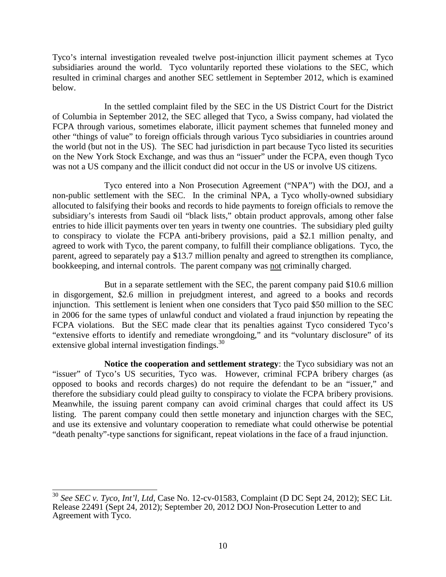Tyco's internal investigation revealed twelve post-injunction illicit payment schemes at Tyco subsidiaries around the world. Tyco voluntarily reported these violations to the SEC, which resulted in criminal charges and another SEC settlement in September 2012, which is examined below.

In the settled complaint filed by the SEC in the US District Court for the District of Columbia in September 2012, the SEC alleged that Tyco, a Swiss company, had violated the FCPA through various, sometimes elaborate, illicit payment schemes that funneled money and other "things of value" to foreign officials through various Tyco subsidiaries in countries around the world (but not in the US). The SEC had jurisdiction in part because Tyco listed its securities on the New York Stock Exchange, and was thus an "issuer" under the FCPA, even though Tyco was not a US company and the illicit conduct did not occur in the US or involve US citizens.

Tyco entered into a Non Prosecution Agreement ("NPA") with the DOJ, and a non-public settlement with the SEC. In the criminal NPA, a Tyco wholly-owned subsidiary allocuted to falsifying their books and records to hide payments to foreign officials to remove the subsidiary's interests from Saudi oil "black lists," obtain product approvals, among other false entries to hide illicit payments over ten years in twenty one countries. The subsidiary pled guilty to conspiracy to violate the FCPA anti-bribery provisions, paid a \$2.1 million penalty, and agreed to work with Tyco, the parent company, to fulfill their compliance obligations. Tyco, the parent, agreed to separately pay a \$13.7 million penalty and agreed to strengthen its compliance, bookkeeping, and internal controls. The parent company was not criminally charged.

But in a separate settlement with the SEC, the parent company paid \$10.6 million in disgorgement, \$2.6 million in prejudgment interest, and agreed to a books and records injunction. This settlement is lenient when one considers that Tyco paid \$50 million to the SEC in 2006 for the same types of unlawful conduct and violated a fraud injunction by repeating the FCPA violations. But the SEC made clear that its penalties against Tyco considered Tyco's "extensive efforts to identify and remediate wrongdoing," and its "voluntary disclosure" of its extensive global internal investigation findings. $30$ 

**Notice the cooperation and settlement strategy**: the Tyco subsidiary was not an "issuer" of Tyco's US securities, Tyco was. However, criminal FCPA bribery charges (as opposed to books and records charges) do not require the defendant to be an "issuer," and therefore the subsidiary could plead guilty to conspiracy to violate the FCPA bribery provisions. Meanwhile, the issuing parent company can avoid criminal charges that could affect its US listing. The parent company could then settle monetary and injunction charges with the SEC, and use its extensive and voluntary cooperation to remediate what could otherwise be potential "death penalty"-type sanctions for significant, repeat violations in the face of a fraud injunction.

<sup>30</sup> *See SEC v. Tyco, Int'l, Ltd,* Case No. 12-cv-01583, Complaint (D DC Sept 24, 2012); SEC Lit. Release 22491 (Sept 24, 2012); September 20, 2012 DOJ Non-Prosecution Letter to and Agreement with Tyco.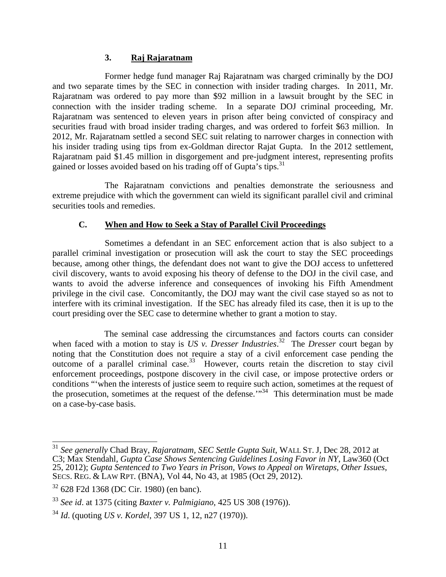#### **3. Raj Rajaratnam**

Former hedge fund manager Raj Rajaratnam was charged criminally by the DOJ and two separate times by the SEC in connection with insider trading charges. In 2011, Mr. Rajaratnam was ordered to pay more than \$92 million in a lawsuit brought by the SEC in connection with the insider trading scheme. In a separate DOJ criminal proceeding, Mr. Rajaratnam was sentenced to eleven years in prison after being convicted of conspiracy and securities fraud with broad insider trading charges, and was ordered to forfeit \$63 million. In 2012, Mr. Rajaratnam settled a second SEC suit relating to narrower charges in connection with his insider trading using tips from ex-Goldman director Rajat Gupta. In the 2012 settlement, Rajaratnam paid \$1.45 million in disgorgement and pre-judgment interest, representing profits gained or losses avoided based on his trading off of Gupta's tips.<sup>31</sup>

The Rajaratnam convictions and penalties demonstrate the seriousness and extreme prejudice with which the government can wield its significant parallel civil and criminal securities tools and remedies.

#### **C. When and How to Seek a Stay of Parallel Civil Proceedings**

Sometimes a defendant in an SEC enforcement action that is also subject to a parallel criminal investigation or prosecution will ask the court to stay the SEC proceedings because, among other things, the defendant does not want to give the DOJ access to unfettered civil discovery, wants to avoid exposing his theory of defense to the DOJ in the civil case, and wants to avoid the adverse inference and consequences of invoking his Fifth Amendment privilege in the civil case. Concomitantly, the DOJ may want the civil case stayed so as not to interfere with its criminal investigation. If the SEC has already filed its case, then it is up to the court presiding over the SEC case to determine whether to grant a motion to stay.

The seminal case addressing the circumstances and factors courts can consider when faced with a motion to stay is *US v. Dresser Industries*. <sup>32</sup> The *Dresser* court began by noting that the Constitution does not require a stay of a civil enforcement case pending the outcome of a parallel criminal case.<sup>33</sup> However, courts retain the discretion to stay civil enforcement proceedings, postpone discovery in the civil case, or impose protective orders or conditions "'when the interests of justice seem to require such action, sometimes at the request of the prosecution, sometimes at the request of the defense. $\mathbf{r}^{34}$  This determination must be made on a case-by-case basis.

<sup>31</sup> *See generally* Chad Bray, *Rajaratnam, SEC Settle Gupta Suit*, WALL ST. J, Dec 28, 2012 at C3; Max Stendahl, *Gupta Case Shows Sentencing Guidelines Losing Favor in NY*, Law360 (Oct 25, 2012); *Gupta Sentenced to Two Years in Prison, Vows to Appeal on Wiretaps, Other Issues*, SECS. REG. & LAW RPT. (BNA), Vol 44, No 43, at 1985 (Oct 29, 2012).

<sup>32</sup> 628 F2d 1368 (DC Cir. 1980) (en banc).

<sup>33</sup> *See id*. at 1375 (citing *Baxter v. Palmigiano*, 425 US 308 (1976)).

<sup>34</sup> *Id*. (quoting *US v. Kordel*, 397 US 1, 12, n27 (1970)).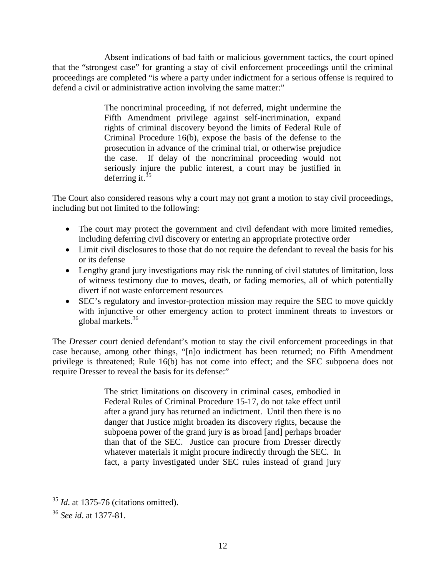Absent indications of bad faith or malicious government tactics, the court opined that the "strongest case" for granting a stay of civil enforcement proceedings until the criminal proceedings are completed "is where a party under indictment for a serious offense is required to defend a civil or administrative action involving the same matter:"

> The noncriminal proceeding, if not deferred, might undermine the Fifth Amendment privilege against self-incrimination, expand rights of criminal discovery beyond the limits of Federal Rule of Criminal Procedure 16(b), expose the basis of the defense to the prosecution in advance of the criminal trial, or otherwise prejudice the case. If delay of the noncriminal proceeding would not seriously injure the public interest, a court may be justified in deferring it. $35$

The Court also considered reasons why a court may not grant a motion to stay civil proceedings, including but not limited to the following:

- The court may protect the government and civil defendant with more limited remedies, including deferring civil discovery or entering an appropriate protective order
- Limit civil disclosures to those that do not require the defendant to reveal the basis for his or its defense
- Lengthy grand jury investigations may risk the running of civil statutes of limitation, loss of witness testimony due to moves, death, or fading memories, all of which potentially divert if not waste enforcement resources
- SEC's regulatory and investor-protection mission may require the SEC to move quickly with injunctive or other emergency action to protect imminent threats to investors or global markets.<sup>36</sup>

The *Dresser* court denied defendant's motion to stay the civil enforcement proceedings in that case because, among other things, "[n]o indictment has been returned; no Fifth Amendment privilege is threatened; Rule 16(b) has not come into effect; and the SEC subpoena does not require Dresser to reveal the basis for its defense:"

> The strict limitations on discovery in criminal cases, embodied in Federal Rules of Criminal Procedure 15-17, do not take effect until after a grand jury has returned an indictment. Until then there is no danger that Justice might broaden its discovery rights, because the subpoena power of the grand jury is as broad [and] perhaps broader than that of the SEC. Justice can procure from Dresser directly whatever materials it might procure indirectly through the SEC. In fact, a party investigated under SEC rules instead of grand jury

<sup>35</sup> *Id*. at 1375-76 (citations omitted).

<sup>36</sup> *See id*. at 1377-81.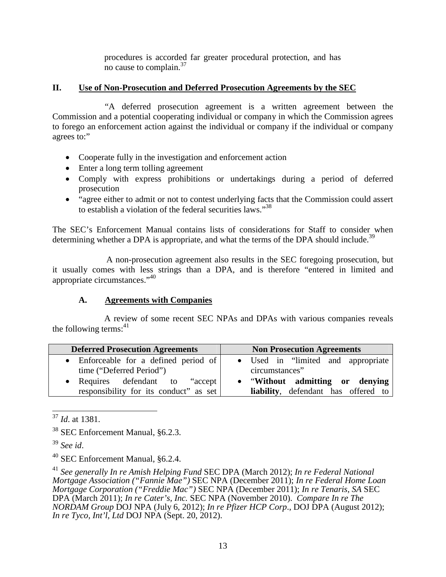procedures is accorded far greater procedural protection, and has no cause to complain. $37$ 

#### **II. Use of Non-Prosecution and Deferred Prosecution Agreements by the SEC**

"A deferred prosecution agreement is a written agreement between the Commission and a potential cooperating individual or company in which the Commission agrees to forego an enforcement action against the individual or company if the individual or company agrees to:"

- Cooperate fully in the investigation and enforcement action
- Enter a long term tolling agreement
- Comply with express prohibitions or undertakings during a period of deferred prosecution
- "agree either to admit or not to contest underlying facts that the Commission could assert to establish a violation of the federal securities laws."<sup>38</sup>

The SEC's Enforcement Manual contains lists of considerations for Staff to consider when determining whether a DPA is appropriate, and what the terms of the DPA should include.<sup>39</sup>

A non-prosecution agreement also results in the SEC foregoing prosecution, but it usually comes with less strings than a DPA, and is therefore "entered in limited and appropriate circumstances."<sup>40</sup>

#### **A. Agreements with Companies**

A review of some recent SEC NPAs and DPAs with various companies reveals the following terms: $41$ 

| <b>Deferred Prosecution Agreements</b>                                        | <b>Non Prosecution Agreements</b>                                             |
|-------------------------------------------------------------------------------|-------------------------------------------------------------------------------|
| • Enforceable for a defined period of<br>time ("Deferred Period")             | • Used in "limited and appropriate<br>circumstances"                          |
| • Requires defendant to<br>"accept"<br>responsibility for its conduct" as set | "Without admitting or denying"<br><b>liability</b> , defendant has offered to |

<sup>37</sup> *Id*. at 1381.

<sup>40</sup> SEC Enforcement Manual, §6.2.4.

<sup>41</sup> *See generally In re Amish Helping Fund* SEC DPA (March 2012); *In re Federal National Mortgage Association ("Fannie Mae")* SEC NPA (December 2011); *In re Federal Home Loan Mortgage Corporation ("Freddie Mac")* SEC NPA (December 2011); *In re Tenaris, SA* SEC DPA (March 2011); *In re Cater's, Inc.* SEC NPA (November 2010). *Compare In re The NORDAM Group* DOJ NPA (July 6, 2012); *In re Pfizer HCP Corp*., DOJ DPA (August 2012); *In re Tyco, Int'l, Ltd* DOJ NPA (Sept. 20, 2012).

<sup>38</sup> SEC Enforcement Manual, §6.2.3.

<sup>39</sup> *See id*.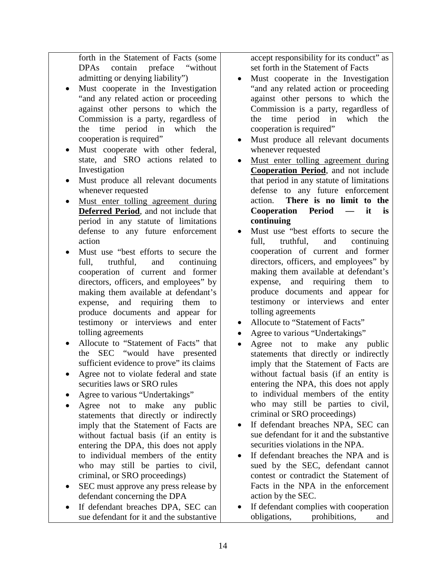forth in the Statement of Facts (some DPAs contain preface "without admitting or denying liability")

- Must cooperate in the Investigation "and any related action or proceeding against other persons to which the Commission is a party, regardless of the time period in which the cooperation is required"
- Must cooperate with other federal, state, and SRO actions related to Investigation
- Must produce all relevant documents whenever requested
- Must enter tolling agreement during **Deferred Period**, and not include that period in any statute of limitations defense to any future enforcement action
- Must use "best efforts to secure the full, truthful, and continuing cooperation of current and former directors, officers, and employees" by making them available at defendant's expense, and requiring them to produce documents and appear for testimony or interviews and enter tolling agreements
- Allocute to "Statement of Facts" that the SEC "would have presented sufficient evidence to prove" its claims
- Agree not to violate federal and state securities laws or SRO rules
- Agree to various "Undertakings"
- Agree not to make any public statements that directly or indirectly imply that the Statement of Facts are without factual basis (if an entity is entering the DPA, this does not apply to individual members of the entity who may still be parties to civil, criminal, or SRO proceedings)
- SEC must approve any press release by defendant concerning the DPA
- If defendant breaches DPA, SEC can sue defendant for it and the substantive

accept responsibility for its conduct" as set forth in the Statement of Facts

- Must cooperate in the Investigation "and any related action or proceeding against other persons to which the Commission is a party, regardless of the time period in which the cooperation is required"
- Must produce all relevant documents whenever requested
- Must enter tolling agreement during **Cooperation Period**, and not include that period in any statute of limitations defense to any future enforcement action. **There is no limit to the Cooperation Period — it is continuing**
- Must use "best efforts to secure the full, truthful, and continuing cooperation of current and former directors, officers, and employees" by making them available at defendant's expense, and requiring them to produce documents and appear for testimony or interviews and enter tolling agreements
- Allocute to "Statement of Facts"
- Agree to various "Undertakings"
- Agree not to make any public statements that directly or indirectly imply that the Statement of Facts are without factual basis (if an entity is entering the NPA, this does not apply to individual members of the entity who may still be parties to civil, criminal or SRO proceedings)
- If defendant breaches NPA, SEC can sue defendant for it and the substantive securities violations in the NPA.
- If defendant breaches the NPA and is sued by the SEC, defendant cannot contest or contradict the Statement of Facts in the NPA in the enforcement action by the SEC.
- If defendant complies with cooperation obligations, prohibitions, and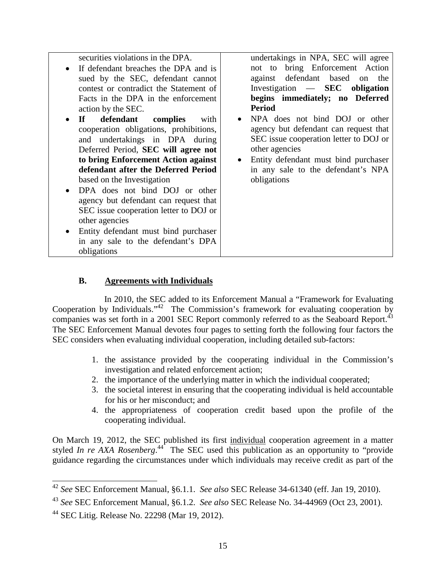securities violations in the DPA.

- If defendant breaches the DPA and is sued by the SEC, defendant cannot contest or contradict the Statement of Facts in the DPA in the enforcement action by the SEC.
- **If defendant complies** with cooperation obligations, prohibitions, and undertakings in DPA during Deferred Period, **SEC will agree not to bring Enforcement Action against defendant after the Deferred Period** based on the Investigation
- DPA does not bind DOJ or other agency but defendant can request that SEC issue cooperation letter to DOJ or other agencies
- Entity defendant must bind purchaser in any sale to the defendant's DPA obligations

undertakings in NPA, SEC will agree not to bring Enforcement Action against defendant based on the Investigation — **SEC obligation begins immediately; no Deferred Period**

- NPA does not bind DOJ or other agency but defendant can request that SEC issue cooperation letter to DOJ or other agencies
- Entity defendant must bind purchaser in any sale to the defendant's NPA obligations

#### **B. Agreements with Individuals**

In 2010, the SEC added to its Enforcement Manual a "Framework for Evaluating Cooperation by Individuals."<sup>42</sup> The Commission's framework for evaluating cooperation by companies was set forth in a 2001 SEC Report commonly referred to as the Seaboard Report.<sup>43</sup> The SEC Enforcement Manual devotes four pages to setting forth the following four factors the SEC considers when evaluating individual cooperation, including detailed sub-factors:

- 1. the assistance provided by the cooperating individual in the Commission's investigation and related enforcement action;
- 2. the importance of the underlying matter in which the individual cooperated;
- 3. the societal interest in ensuring that the cooperating individual is held accountable for his or her misconduct; and
- 4. the appropriateness of cooperation credit based upon the profile of the cooperating individual.

On March 19, 2012, the SEC published its first individual cooperation agreement in a matter styled *In re AXA Rosenberg*.<sup>44</sup> The SEC used this publication as an opportunity to "provide guidance regarding the circumstances under which individuals may receive credit as part of the

<sup>42</sup> *See* SEC Enforcement Manual, §6.1.1. *See also* SEC Release 34-61340 (eff. Jan 19, 2010).

<sup>43</sup> *See* SEC Enforcement Manual, §6.1.2. *See also* SEC Release No. 34-44969 (Oct 23, 2001).

 $44$  SEC Litig. Release No. 22298 (Mar 19, 2012).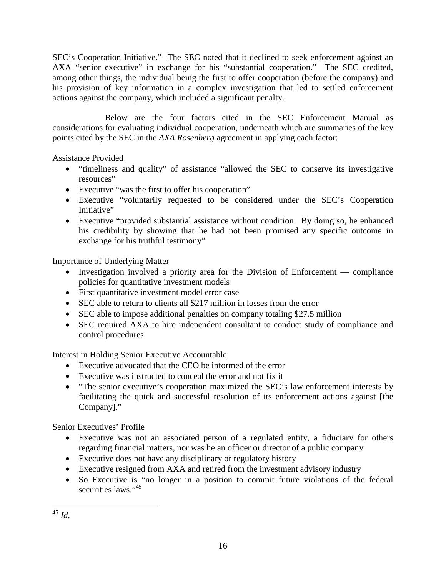SEC's Cooperation Initiative." The SEC noted that it declined to seek enforcement against an AXA "senior executive" in exchange for his "substantial cooperation." The SEC credited, among other things, the individual being the first to offer cooperation (before the company) and his provision of key information in a complex investigation that led to settled enforcement actions against the company, which included a significant penalty.

Below are the four factors cited in the SEC Enforcement Manual as considerations for evaluating individual cooperation, underneath which are summaries of the key points cited by the SEC in the *AXA Rosenberg* agreement in applying each factor:

## Assistance Provided

- "timeliness and quality" of assistance "allowed the SEC to conserve its investigative resources"
- Executive "was the first to offer his cooperation"
- Executive "voluntarily requested to be considered under the SEC's Cooperation Initiative"
- Executive "provided substantial assistance without condition. By doing so, he enhanced his credibility by showing that he had not been promised any specific outcome in exchange for his truthful testimony"

Importance of Underlying Matter

- Investigation involved a priority area for the Division of Enforcement compliance policies for quantitative investment models
- First quantitative investment model error case
- SEC able to return to clients all \$217 million in losses from the error
- SEC able to impose additional penalties on company totaling \$27.5 million
- SEC required AXA to hire independent consultant to conduct study of compliance and control procedures

## Interest in Holding Senior Executive Accountable

- Executive advocated that the CEO be informed of the error
- Executive was instructed to conceal the error and not fix it
- "The senior executive's cooperation maximized the SEC's law enforcement interests by facilitating the quick and successful resolution of its enforcement actions against [the Company]."

Senior Executives' Profile

- Executive was not an associated person of a regulated entity, a fiduciary for others regarding financial matters, nor was he an officer or director of a public company
- Executive does not have any disciplinary or regulatory history
- Executive resigned from AXA and retired from the investment advisory industry
- So Executive is "no longer in a position to commit future violations of the federal securities laws<sup>"45</sup>

<sup>45</sup> *Id*.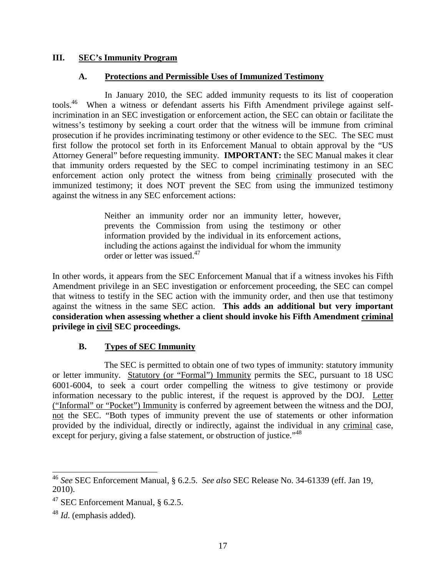#### **III. SEC's Immunity Program**

#### **A. Protections and Permissible Uses of Immunized Testimony**

In January 2010, the SEC added immunity requests to its list of cooperation tools.<sup>46</sup> When a witness or defendant asserts his Fifth Amendment privilege against selfincrimination in an SEC investigation or enforcement action, the SEC can obtain or facilitate the witness's testimony by seeking a court order that the witness will be immune from criminal prosecution if he provides incriminating testimony or other evidence to the SEC. The SEC must first follow the protocol set forth in its Enforcement Manual to obtain approval by the "US Attorney General" before requesting immunity. **IMPORTANT:** the SEC Manual makes it clear that immunity orders requested by the SEC to compel incriminating testimony in an SEC enforcement action only protect the witness from being criminally prosecuted with the immunized testimony; it does NOT prevent the SEC from using the immunized testimony against the witness in any SEC enforcement actions:

> Neither an immunity order nor an immunity letter, however, prevents the Commission from using the testimony or other information provided by the individual in its enforcement actions, including the actions against the individual for whom the immunity order or letter was issued.<sup>47</sup>

In other words, it appears from the SEC Enforcement Manual that if a witness invokes his Fifth Amendment privilege in an SEC investigation or enforcement proceeding, the SEC can compel that witness to testify in the SEC action with the immunity order, and then use that testimony against the witness in the same SEC action. **This adds an additional but very important consideration when assessing whether a client should invoke his Fifth Amendment criminal privilege in civil SEC proceedings.**

#### **B. Types of SEC Immunity**

The SEC is permitted to obtain one of two types of immunity: statutory immunity or letter immunity. Statutory (or "Formal") Immunity permits the SEC, pursuant to 18 USC 6001-6004, to seek a court order compelling the witness to give testimony or provide information necessary to the public interest, if the request is approved by the DOJ. Letter ("Informal" or "Pocket") Immunity is conferred by agreement between the witness and the DOJ, not the SEC. "Both types of immunity prevent the use of statements or other information provided by the individual, directly or indirectly, against the individual in any criminal case, except for perjury, giving a false statement, or obstruction of justice."<sup>48</sup>

<sup>46</sup> *See* SEC Enforcement Manual, § 6.2.5. *See also* SEC Release No. 34-61339 (eff. Jan 19, 2010).

<sup>47</sup> SEC Enforcement Manual, § 6.2.5.

<sup>48</sup> *Id*. (emphasis added).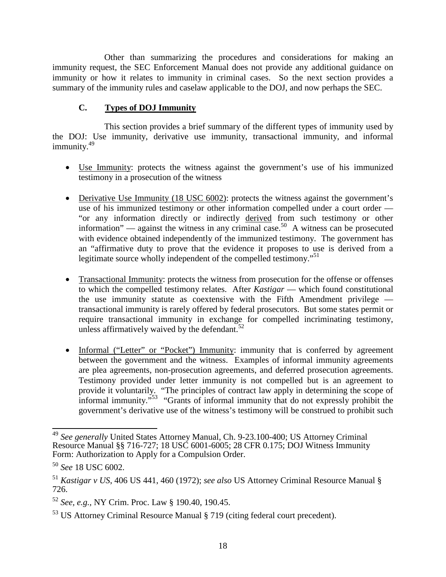Other than summarizing the procedures and considerations for making an immunity request, the SEC Enforcement Manual does not provide any additional guidance on immunity or how it relates to immunity in criminal cases. So the next section provides a summary of the immunity rules and caselaw applicable to the DOJ, and now perhaps the SEC.

## **C. Types of DOJ Immunity**

This section provides a brief summary of the different types of immunity used by the DOJ: Use immunity, derivative use immunity, transactional immunity, and informal immunity.<sup>49</sup>

- Use Immunity: protects the witness against the government's use of his immunized testimony in a prosecution of the witness
- Derivative Use Immunity (18 USC 6002): protects the witness against the government's use of his immunized testimony or other information compelled under a court order — "or any information directly or indirectly derived from such testimony or other information" — against the witness in any criminal case.<sup>50</sup> A witness can be prosecuted with evidence obtained independently of the immunized testimony. The government has an "affirmative duty to prove that the evidence it proposes to use is derived from a legitimate source wholly independent of the compelled testimony."<sup>51</sup>
- Transactional Immunity: protects the witness from prosecution for the offense or offenses to which the compelled testimony relates. After *Kastigar* — which found constitutional the use immunity statute as coextensive with the Fifth Amendment privilege transactional immunity is rarely offered by federal prosecutors. But some states permit or require transactional immunity in exchange for compelled incriminating testimony, unless affirmatively waived by the defendant. $52$
- Informal ("Letter" or "Pocket") Immunity: immunity that is conferred by agreement between the government and the witness. Examples of informal immunity agreements are plea agreements, non-prosecution agreements, and deferred prosecution agreements. Testimony provided under letter immunity is not compelled but is an agreement to provide it voluntarily. "The principles of contract law apply in determining the scope of informal immunity."<sup>53</sup> "Grants of informal immunity that do not expressly prohibit the government's derivative use of the witness's testimony will be construed to prohibit such

<sup>49</sup> *See generally* United States Attorney Manual, Ch. 9-23.100-400; US Attorney Criminal Resource Manual §§ 716-727; 18 USC 6001-6005; 28 CFR 0.175; DOJ Witness Immunity Form: Authorization to Apply for a Compulsion Order.

<sup>50</sup> *See* 18 USC 6002.

<sup>51</sup> *Kastigar v US*, 406 US 441, 460 (1972); *see also* US Attorney Criminal Resource Manual § 726.

<sup>52</sup> *See, e.g.,* NY Crim. Proc. Law § 190.40, 190.45.

<sup>53</sup> US Attorney Criminal Resource Manual § 719 (citing federal court precedent).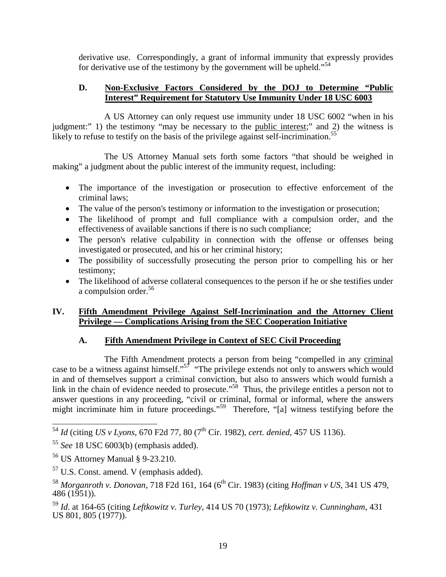derivative use. Correspondingly, a grant of informal immunity that expressly provides for derivative use of the testimony by the government will be upheld."<sup>54</sup>

#### **D. Non-Exclusive Factors Considered by the DOJ to Determine "Public Interest" Requirement for Statutory Use Immunity Under 18 USC 6003**

A US Attorney can only request use immunity under 18 USC 6002 "when in his judgment:" 1) the testimony "may be necessary to the public interest;" and 2) the witness is likely to refuse to testify on the basis of the privilege against self-incrimination.<sup>55</sup>

The US Attorney Manual sets forth some factors "that should be weighed in making" a judgment about the public interest of the immunity request, including:

- The importance of the investigation or prosecution to effective enforcement of the criminal laws;
- The value of the person's testimony or information to the investigation or prosecution;
- The likelihood of prompt and full compliance with a compulsion order, and the effectiveness of available sanctions if there is no such compliance;
- The person's relative culpability in connection with the offense or offenses being investigated or prosecuted, and his or her criminal history;
- The possibility of successfully prosecuting the person prior to compelling his or her testimony;
- The likelihood of adverse collateral consequences to the person if he or she testifies under a compulsion order.<sup>56</sup>

#### **IV. Fifth Amendment Privilege Against Self-Incrimination and the Attorney Client Privilege — Complications Arising from the SEC Cooperation Initiative**

## **A. Fifth Amendment Privilege in Context of SEC Civil Proceeding**

The Fifth Amendment protects a person from being "compelled in any criminal case to be a witness against himself."<sup>57</sup> "The privilege extends not only to answers which would in and of themselves support a criminal conviction, but also to answers which would furnish a link in the chain of evidence needed to prosecute."<sup>58</sup> Thus, the privilege entitles a person not to answer questions in any proceeding, "civil or criminal, formal or informal, where the answers might incriminate him in future proceedings."<sup>59</sup> Therefore, "[a] witness testifying before the

<sup>54</sup> *Id* (citing *US v Lyons*, 670 F2d 77, 80 (7th Cir. 1982), *cert. denied*, 457 US 1136).

<sup>55</sup> *See* 18 USC 6003(b) (emphasis added).

<sup>56</sup> US Attorney Manual § 9-23.210.

<sup>57</sup> U.S. Const. amend. V (emphasis added).

<sup>58</sup> *Morganroth v. Donovan*, 718 F2d 161, 164 (6th Cir. 1983) (citing *Hoffman v US*, 341 US 479,  $486(1951)$ ).

<sup>59</sup> *Id*. at 164-65 (citing *Leftkowitz v. Turley*, 414 US 70 (1973); *Leftkowitz v. Cunningham*, 431 US 801, 805 (1977)).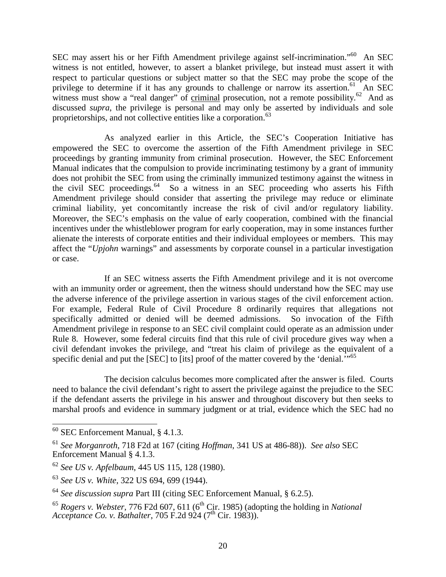SEC may assert his or her Fifth Amendment privilege against self-incrimination."<sup>60</sup> An SEC witness is not entitled, however, to assert a blanket privilege, but instead must assert it with respect to particular questions or subject matter so that the SEC may probe the scope of the privilege to determine if it has any grounds to challenge or narrow its assertion.<sup>61</sup> An SEC witness must show a "real danger" of  $criminal$  prosecution, not a remote possibility.<sup>62</sup> And as</u> discussed *supra*, the privilege is personal and may only be asserted by individuals and sole proprietorships, and not collective entities like a corporation.<sup>63</sup>

As analyzed earlier in this Article, the SEC's Cooperation Initiative has empowered the SEC to overcome the assertion of the Fifth Amendment privilege in SEC proceedings by granting immunity from criminal prosecution. However, the SEC Enforcement Manual indicates that the compulsion to provide incriminating testimony by a grant of immunity does not prohibit the SEC from using the criminally immunized testimony against the witness in the civil SEC proceedings.<sup>64</sup> So a witness in an SEC proceeding who asserts his Fifth Amendment privilege should consider that asserting the privilege may reduce or eliminate criminal liability, yet concomitantly increase the risk of civil and/or regulatory liability. Moreover, the SEC's emphasis on the value of early cooperation, combined with the financial incentives under the whistleblower program for early cooperation, may in some instances further alienate the interests of corporate entities and their individual employees or members. This may affect the "*Upjohn* warnings" and assessments by corporate counsel in a particular investigation or case.

If an SEC witness asserts the Fifth Amendment privilege and it is not overcome with an immunity order or agreement, then the witness should understand how the SEC may use the adverse inference of the privilege assertion in various stages of the civil enforcement action. For example, Federal Rule of Civil Procedure 8 ordinarily requires that allegations not specifically admitted or denied will be deemed admissions. So invocation of the Fifth Amendment privilege in response to an SEC civil complaint could operate as an admission under Rule 8. However, some federal circuits find that this rule of civil procedure gives way when a civil defendant invokes the privilege, and "treat his claim of privilege as the equivalent of a specific denial and put the [SEC] to [its] proof of the matter covered by the 'denial."<sup>65</sup>

The decision calculus becomes more complicated after the answer is filed. Courts need to balance the civil defendant's right to assert the privilege against the prejudice to the SEC if the defendant asserts the privilege in his answer and throughout discovery but then seeks to marshal proofs and evidence in summary judgment or at trial, evidence which the SEC had no

 $60$  SEC Enforcement Manual, § 4.1.3.

<sup>61</sup> *See Morganroth*, 718 F2d at 167 (citing *Hoffman*, 341 US at 486-88)). *See also* SEC Enforcement Manual § 4.1.3.

<sup>62</sup> *See US v. Apfelbaum*, 445 US 115, 128 (1980).

<sup>63</sup> *See US v. White*, 322 US 694, 699 (1944).

<sup>64</sup> *See discussion supra* Part III (citing SEC Enforcement Manual, § 6.2.5).

<sup>&</sup>lt;sup>65</sup> *Rogers v. Webster*, 776 F2d 607, 611 (6<sup>th</sup> Cir. 1985) (adopting the holding in *National Acceptance Co. v. Bathalter, 705 F.2d 924 (7<sup>th</sup> Cir. 1983)).*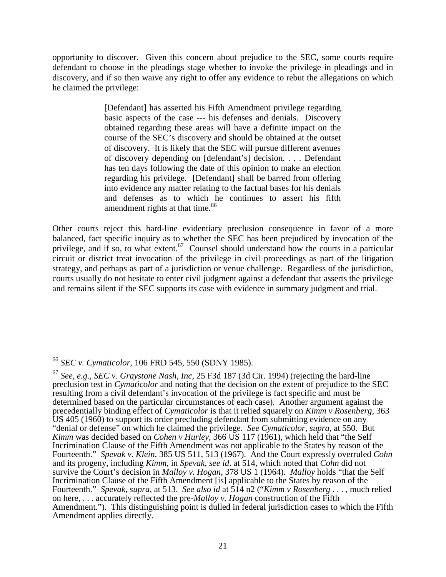opportunity to discover. Given this concern about prejudice to the SEC, some courts require defendant to choose in the pleadings stage whether to invoke the privilege in pleadings and in discovery, and if so then waive any right to offer any evidence to rebut the allegations on which he claimed the privilege:

> [Defendant] has asserted his Fifth Amendment privilege regarding basic aspects of the case --- his defenses and denials. Discovery obtained regarding these areas will have a definite impact on the course of the SEC's discovery and should be obtained at the outset of discovery. It is likely that the SEC will pursue different avenues of discovery depending on [defendant's] decision. . . . Defendant has ten days following the date of this opinion to make an election regarding his privilege. [Defendant] shall be barred from offering into evidence any matter relating to the factual bases for his denials and defenses as to which he continues to assert his fifth amendment rights at that time.<sup>66</sup>

Other courts reject this hard-line evidentiary preclusion consequence in favor of a more balanced, fact specific inquiry as to whether the SEC has been prejudiced by invocation of the privilege, and if so, to what extent. $67$  Counsel should understand how the courts in a particular circuit or district treat invocation of the privilege in civil proceedings as part of the litigation strategy, and perhaps as part of a jurisdiction or venue challenge. Regardless of the jurisdiction, courts usually do not hesitate to enter civil judgment against a defendant that asserts the privilege and remains silent if the SEC supports its case with evidence in summary judgment and trial.

<sup>66</sup> *SEC v. Cymaticolor*, 106 FRD 545, 550 (SDNY 1985).

<sup>67</sup> *See, e.g., SEC v. Graystone Nash, Inc*, 25 F3d 187 (3d Cir. 1994) (rejecting the hard-line preclusion test in *Cymaticolor* and noting that the decision on the extent of prejudice to the SEC resulting from a civil defendant's invocation of the privilege is fact specific and must be determined based on the particular circumstances of each case). Another argument against the precedentially binding effect of *Cymaticolor* is that it relied squarely on *Kimm v Rosenberg*, 363 US 405 (1960) to support its order precluding defendant from submitting evidence on any "denial or defense" on which he claimed the privilege. *See Cymaticolor*, *supra*, at 550. But *Kimm* was decided based on *Cohen v Hurley*, 366 US 117 (1961), which held that "the Self Incrimination Clause of the Fifth Amendment was not applicable to the States by reason of the Fourteenth." *Spevak v. Klein*, 385 US 511, 513 (1967). And the Court expressly overruled *Cohn* and its progeny, including *Kimm*, in *Spevak*, *see id*. at 514, which noted that *Cohn* did not survive the Court's decision in *Malloy v. Hogan*, 378 US 1 (1964). *Malloy* holds "that the Self Incrimination Clause of the Fifth Amendment [is] applicable to the States by reason of the Fourteenth." *Spevak, supra*, at 513. *See also id* at 514 n2 ("*Kimm v Rosenberg* . . . , much relied on here, . . . accurately reflected the pre-*Malloy v. Hogan* construction of the Fifth Amendment."). This distinguishing point is dulled in federal jurisdiction cases to which the Fifth Amendment applies directly.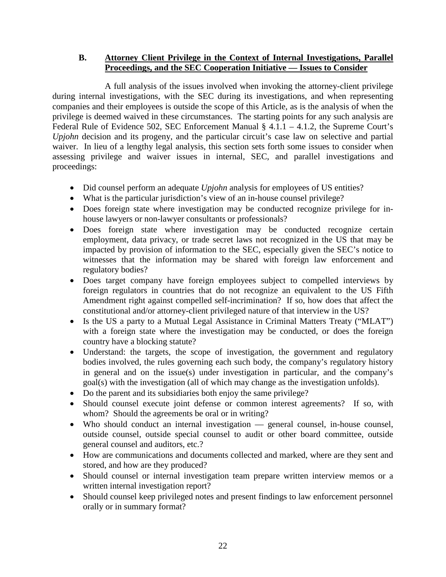#### **B. Attorney Client Privilege in the Context of Internal Investigations, Parallel Proceedings, and the SEC Cooperation Initiative — Issues to Consider**

A full analysis of the issues involved when invoking the attorney-client privilege during internal investigations, with the SEC during its investigations, and when representing companies and their employees is outside the scope of this Article, as is the analysis of when the privilege is deemed waived in these circumstances. The starting points for any such analysis are Federal Rule of Evidence 502, SEC Enforcement Manual § 4.1.1 – 4.1.2, the Supreme Court's *Upjohn* decision and its progeny, and the particular circuit's case law on selective and partial waiver. In lieu of a lengthy legal analysis, this section sets forth some issues to consider when assessing privilege and waiver issues in internal, SEC, and parallel investigations and proceedings:

- Did counsel perform an adequate *Upjohn* analysis for employees of US entities?
- What is the particular jurisdiction's view of an in-house counsel privilege?
- Does foreign state where investigation may be conducted recognize privilege for inhouse lawyers or non-lawyer consultants or professionals?
- Does foreign state where investigation may be conducted recognize certain employment, data privacy, or trade secret laws not recognized in the US that may be impacted by provision of information to the SEC, especially given the SEC's notice to witnesses that the information may be shared with foreign law enforcement and regulatory bodies?
- Does target company have foreign employees subject to compelled interviews by foreign regulators in countries that do not recognize an equivalent to the US Fifth Amendment right against compelled self-incrimination? If so, how does that affect the constitutional and/or attorney-client privileged nature of that interview in the US?
- Is the US a party to a Mutual Legal Assistance in Criminal Matters Treaty ("MLAT") with a foreign state where the investigation may be conducted, or does the foreign country have a blocking statute?
- Understand: the targets, the scope of investigation, the government and regulatory bodies involved, the rules governing each such body, the company's regulatory history in general and on the issue(s) under investigation in particular, and the company's goal(s) with the investigation (all of which may change as the investigation unfolds).
- Do the parent and its subsidiaries both enjoy the same privilege?
- Should counsel execute joint defense or common interest agreements? If so, with whom? Should the agreements be oral or in writing?
- Who should conduct an internal investigation general counsel, in-house counsel, outside counsel, outside special counsel to audit or other board committee, outside general counsel and auditors, etc.?
- How are communications and documents collected and marked, where are they sent and stored, and how are they produced?
- Should counsel or internal investigation team prepare written interview memos or a written internal investigation report?
- Should counsel keep privileged notes and present findings to law enforcement personnel orally or in summary format?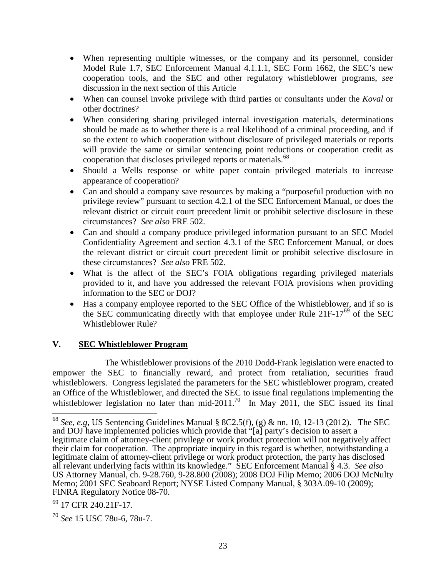- When representing multiple witnesses, or the company and its personnel, consider Model Rule 1.7, SEC Enforcement Manual 4.1.1.1, SEC Form 1662, the SEC's new cooperation tools, and the SEC and other regulatory whistleblower programs, *see* discussion in the next section of this Article
- When can counsel invoke privilege with third parties or consultants under the *Koval* or other doctrines?
- When considering sharing privileged internal investigation materials, determinations should be made as to whether there is a real likelihood of a criminal proceeding, and if so the extent to which cooperation without disclosure of privileged materials or reports will provide the same or similar sentencing point reductions or cooperation credit as cooperation that discloses privileged reports or materials.<sup>68</sup>
- Should a Wells response or white paper contain privileged materials to increase appearance of cooperation?
- Can and should a company save resources by making a "purposeful production with no privilege review" pursuant to section 4.2.1 of the SEC Enforcement Manual, or does the relevant district or circuit court precedent limit or prohibit selective disclosure in these circumstances? *See also* FRE 502.
- Can and should a company produce privileged information pursuant to an SEC Model Confidentiality Agreement and section 4.3.1 of the SEC Enforcement Manual, or does the relevant district or circuit court precedent limit or prohibit selective disclosure in these circumstances? *See also* FRE 502.
- What is the affect of the SEC's FOIA obligations regarding privileged materials provided to it, and have you addressed the relevant FOIA provisions when providing information to the SEC or DOJ?
- Has a company employee reported to the SEC Office of the Whistleblower, and if so is the SEC communicating directly with that employee under Rule  $21F-17^{69}$  of the SEC Whistleblower Rule?

#### **V. SEC Whistleblower Program**

The Whistleblower provisions of the 2010 Dodd-Frank legislation were enacted to empower the SEC to financially reward, and protect from retaliation, securities fraud whistleblowers. Congress legislated the parameters for the SEC whistleblower program, created an Office of the Whistleblower, and directed the SEC to issue final regulations implementing the whistleblower legislation no later than mid-2011.<sup>70</sup> In May 2011, the SEC issued its final

<sup>&</sup>lt;sup>68</sup> *See, e.g,* US Sentencing Guidelines Manual § 8C2.5(f), (g) & nn. 10, 12-13 (2012). The SEC and DOJ have implemented policies which provide that "[a] party's decision to assert a legitimate claim of attorney-client privilege or work product protection will not negatively affect their claim for cooperation. The appropriate inquiry in this regard is whether, notwithstanding a legitimate claim of attorney-client privilege or work product protection, the party has disclosed all relevant underlying facts within its knowledge." SEC Enforcement Manual § 4.3. *See also* US Attorney Manual, ch. 9-28.760, 9-28.800 (2008); 2008 DOJ Filip Memo; 2006 DOJ McNulty Memo; 2001 SEC Seaboard Report; NYSE Listed Company Manual, § 303A.09-10 (2009); FINRA Regulatory Notice 08-70.

 $^{69}$  17 CFR 240.21F-17.

<sup>70</sup> *See* 15 USC 78u-6, 78u-7.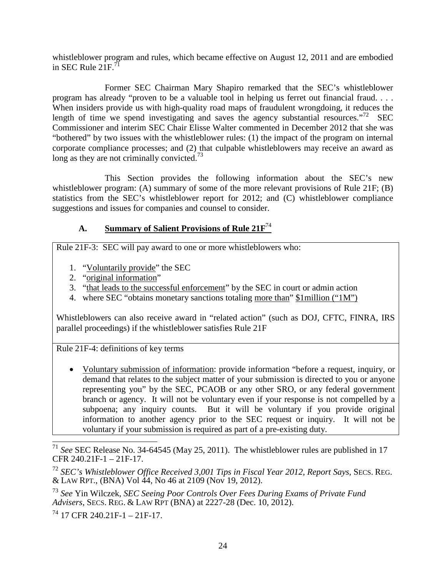whistleblower program and rules, which became effective on August 12, 2011 and are embodied in SEC Rule  $21F^{71}$ 

Former SEC Chairman Mary Shapiro remarked that the SEC's whistleblower program has already "proven to be a valuable tool in helping us ferret out financial fraud. . . . When insiders provide us with high-quality road maps of fraudulent wrongdoing, it reduces the length of time we spend investigating and saves the agency substantial resources."<sup>72</sup> SEC Commissioner and interim SEC Chair Elisse Walter commented in December 2012 that she was "bothered" by two issues with the whistleblower rules: (1) the impact of the program on internal corporate compliance processes; and (2) that culpable whistleblowers may receive an award as long as they are not criminally convicted.<sup>73</sup>

This Section provides the following information about the SEC's new whistleblower program: (A) summary of some of the more relevant provisions of Rule 21F; (B) statistics from the SEC's whistleblower report for 2012; and (C) whistleblower compliance suggestions and issues for companies and counsel to consider.

## **A. Summary of Salient Provisions of Rule 21F**<sup>74</sup>

Rule 21F-3: SEC will pay award to one or more whistleblowers who:

- 1. "Voluntarily provide" the SEC
- 2. "original information"
- 3. "that leads to the successful enforcement" by the SEC in court or admin action
- 4. where SEC "obtains monetary sanctions totaling more than" \$1million ("1M")

Whistleblowers can also receive award in "related action" (such as DOJ, CFTC, FINRA, IRS parallel proceedings) if the whistleblower satisfies Rule 21F

Rule 21F-4: definitions of key terms

 Voluntary submission of information: provide information "before a request, inquiry, or demand that relates to the subject matter of your submission is directed to you or anyone representing you" by the SEC, PCAOB or any other SRO, or any federal government branch or agency. It will not be voluntary even if your response is not compelled by a subpoena; any inquiry counts. But it will be voluntary if you provide original information to another agency prior to the SEC request or inquiry. It will not be voluntary if your submission is required as part of a pre-existing duty.

See SEC Release No. 34-64545 (May 25, 2011). The whistleblower rules are published in 17 CFR 240.21F-1 – 21F-17.

<sup>72</sup> *SEC's Whistleblower Office Received 3,001 Tips in Fiscal Year 2012, Report Says*, SECS. REG. & LAW RPT., (BNA) Vol 44, No 46 at 2109 (Nov 19, 2012).

<sup>73</sup> *See* Yin Wilczek, *SEC Seeing Poor Controls Over Fees During Exams of Private Fund Advisers*, SECS. REG. & LAW RPT (BNA) at 2227-28 (Dec. 10, 2012).

 $^{74}$  17 CFR 240.21F-1 – 21F-17.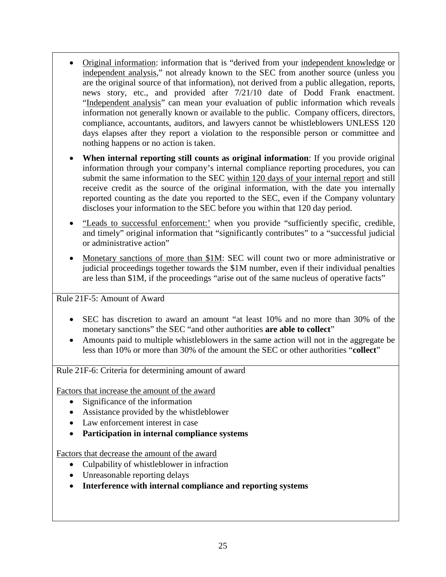- Original information: information that is "derived from your independent knowledge or independent analysis," not already known to the SEC from another source (unless you are the original source of that information), not derived from a public allegation, reports, news story, etc., and provided after 7/21/10 date of Dodd Frank enactment. "Independent analysis" can mean your evaluation of public information which reveals information not generally known or available to the public. Company officers, directors, compliance, accountants, auditors, and lawyers cannot be whistleblowers UNLESS 120 days elapses after they report a violation to the responsible person or committee and nothing happens or no action is taken.
- **When internal reporting still counts as original information**: If you provide original information through your company's internal compliance reporting procedures, you can submit the same information to the SEC within 120 days of your internal report and still receive credit as the source of the original information, with the date you internally reported counting as the date you reported to the SEC, even if the Company voluntary discloses your information to the SEC before you within that 120 day period.
- "Leads to successful enforcement:' when you provide "sufficiently specific, credible, and timely" original information that "significantly contributes" to a "successful judicial or administrative action"
- Monetary sanctions of more than \$1M: SEC will count two or more administrative or judicial proceedings together towards the \$1M number, even if their individual penalties are less than \$1M, if the proceedings "arise out of the same nucleus of operative facts"

Rule 21F-5: Amount of Award

- SEC has discretion to award an amount "at least 10% and no more than 30% of the monetary sanctions" the SEC "and other authorities **are able to collect**"
- Amounts paid to multiple whistleblowers in the same action will not in the aggregate be less than 10% or more than 30% of the amount the SEC or other authorities "**collect**"

Rule 21F-6: Criteria for determining amount of award

Factors that increase the amount of the award

- Significance of the information
- Assistance provided by the whistleblower
- Law enforcement interest in case
- **Participation in internal compliance systems**

Factors that decrease the amount of the award

- Culpability of whistleblower in infraction
- Unreasonable reporting delays
- **Interference with internal compliance and reporting systems**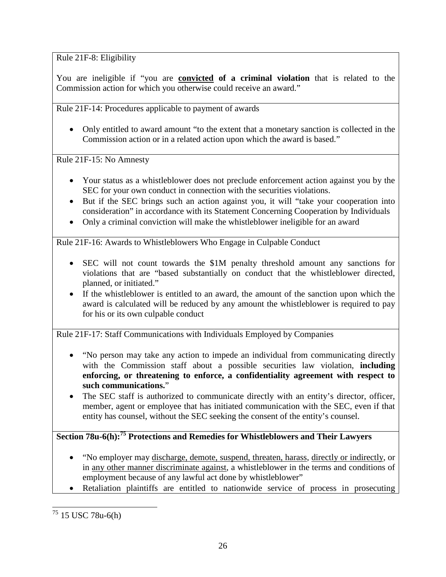Rule 21F-8: Eligibility

You are ineligible if "you are **convicted of a criminal violation** that is related to the Commission action for which you otherwise could receive an award."

Rule 21F-14: Procedures applicable to payment of awards

 Only entitled to award amount "to the extent that a monetary sanction is collected in the Commission action or in a related action upon which the award is based."

Rule 21F-15: No Amnesty

- Your status as a whistleblower does not preclude enforcement action against you by the SEC for your own conduct in connection with the securities violations.
- But if the SEC brings such an action against you, it will "take your cooperation into consideration" in accordance with its Statement Concerning Cooperation by Individuals
- Only a criminal conviction will make the whistleblower ineligible for an award

Rule 21F-16: Awards to Whistleblowers Who Engage in Culpable Conduct

- SEC will not count towards the \$1M penalty threshold amount any sanctions for violations that are "based substantially on conduct that the whistleblower directed, planned, or initiated."
- If the whistleblower is entitled to an award, the amount of the sanction upon which the award is calculated will be reduced by any amount the whistleblower is required to pay for his or its own culpable conduct

Rule 21F-17: Staff Communications with Individuals Employed by Companies

- "No person may take any action to impede an individual from communicating directly with the Commission staff about a possible securities law violation, **including enforcing, or threatening to enforce, a confidentiality agreement with respect to such communications.**"
- The SEC staff is authorized to communicate directly with an entity's director, officer, member, agent or employee that has initiated communication with the SEC, even if that entity has counsel, without the SEC seeking the consent of the entity's counsel.

## **Section 78u-6(h):<sup>75</sup> Protections and Remedies for Whistleblowers and Their Lawyers**

- "No employer may discharge, demote, suspend, threaten, harass, directly or indirectly, or in any other manner discriminate against, a whistleblower in the terms and conditions of employment because of any lawful act done by whistleblower"
- Retaliation plaintiffs are entitled to nationwide service of process in prosecuting

<sup>75</sup> 15 USC 78u-6(h)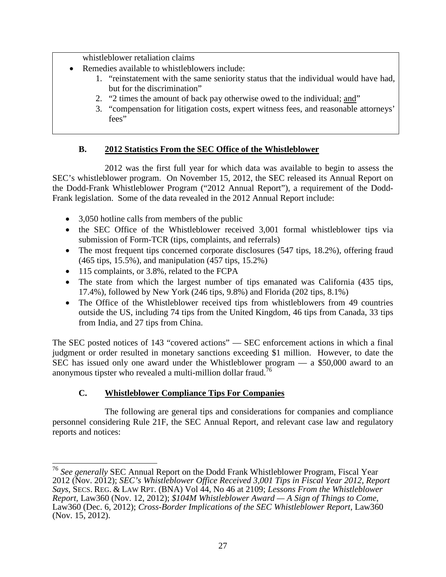whistleblower retaliation claims

- Remedies available to whistleblowers include:
	- 1. "reinstatement with the same seniority status that the individual would have had, but for the discrimination"
	- 2. "2 times the amount of back pay otherwise owed to the individual; and"
	- 3. "compensation for litigation costs, expert witness fees, and reasonable attorneys' fees"

## **B. 2012 Statistics From the SEC Office of the Whistleblower**

2012 was the first full year for which data was available to begin to assess the SEC's whistleblower program. On November 15, 2012, the SEC released its Annual Report on the Dodd-Frank Whistleblower Program ("2012 Annual Report"), a requirement of the Dodd-Frank legislation. Some of the data revealed in the 2012 Annual Report include:

- 3,050 hotline calls from members of the public
- the SEC Office of the Whistleblower received 3,001 formal whistleblower tips via submission of Form-TCR (tips, complaints, and referrals)
- The most frequent tips concerned corporate disclosures (547 tips, 18.2%), offering fraud (465 tips, 15.5%), and manipulation (457 tips, 15.2%)
- 115 complaints, or 3.8%, related to the FCPA
- The state from which the largest number of tips emanated was California (435 tips, 17.4%), followed by New York (246 tips, 9.8%) and Florida (202 tips, 8.1%)
- The Office of the Whistleblower received tips from whistleblowers from 49 countries outside the US, including 74 tips from the United Kingdom, 46 tips from Canada, 33 tips from India, and 27 tips from China.

The SEC posted notices of 143 "covered actions" — SEC enforcement actions in which a final judgment or order resulted in monetary sanctions exceeding \$1 million. However, to date the SEC has issued only one award under the Whistleblower program — a \$50,000 award to an anonymous tipster who revealed a multi-million dollar fraud.<sup>76</sup>

## **C. Whistleblower Compliance Tips For Companies**

The following are general tips and considerations for companies and compliance personnel considering Rule 21F, the SEC Annual Report, and relevant case law and regulatory reports and notices:

<sup>76</sup> *See generally* SEC Annual Report on the Dodd Frank Whistleblower Program, Fiscal Year 2012 (Nov. 2012); *SEC's Whistleblower Office Received 3,001 Tips in Fiscal Year 2012, Report Says*, SECS. REG. & LAW RPT. (BNA) Vol 44, No 46 at 2109; *Lessons From the Whistleblower Report*, Law360 (Nov. 12, 2012); *\$104M Whistleblower Award — A Sign of Things to Come*, Law360 (Dec. 6, 2012); *Cross-Border Implications of the SEC Whistleblower Report*, Law360 (Nov. 15, 2012).